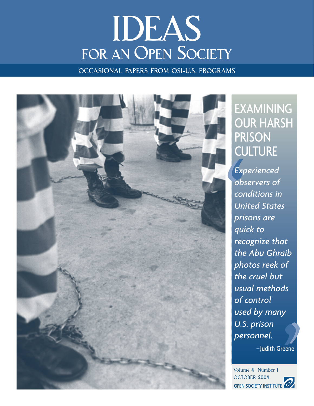## IDEAS FOR AN OPEN SOCIETY

OCCASIONAL PAPERS FROM OSI-U.S. PROGRAMS



### **EXAMINING** OUR HARSH PRISON **CULTURE**

**'** *Experienced observers of conditions in United States prisons are quick to recognize that the Abu Ghraib photos reek of the cruel but usual methods of control used by many U.S. prison personnel.*

–Judith Greene

Volume 4 Number 1 OCTOBER 2004<br>OPEN SOCIETY INSTITUTE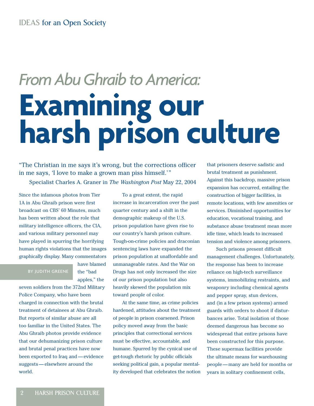# *From Abu Ghraib to America:* **Examining our harsh prison culture**

"The Christian in me says it's wrong, but the corrections officer in me says, 'I love to make a grown man piss himself.'"

Specialist Charles A. Graner in *The Washington Post* May 22, 2004

Since the infamous photos from Tier 1A in Abu Ghraib prison were first broadcast on CBS' 60 Minutes, much has been written about the role that military intelligence officers, the CIA, and various military personnel may have played in spurring the horrifying human rights violations that the images graphically display. Many commentators

BY JUDITH GREENE

have blamed the "bad apples," the

seven soldiers from the 372nd Military Police Company, who have been charged in connection with the brutal treatment of detainees at Abu Ghraib. But reports of similar abuse are all too familiar in the United States. The Abu Ghraib photos provide evidence that our dehumanizing prison culture and brutal penal practices have now been exported to Iraq and — evidence suggests — elsewhere around the world.

To a great extent, the rapid increase in incarceration over the past quarter century and a shift in the demographic makeup of the U.S. prison population have given rise to our country's harsh prison culture. Tough-on-crime policies and draconian sentencing laws have expanded the prison population at unaffordable and unmanageable rates. And the War on Drugs has not only increased the size of our prison population but also heavily skewed the population mix toward people of color.

At the same time, as crime policies hardened, attitudes about the treatment of people in prison coarsened. Prison policy moved away from the basic principles that correctional services must be effective, accountable, and humane. Spurred by the cynical use of get-tough rhetoric by public officials seeking political gain, a popular mentality developed that celebrates the notion

that prisoners deserve sadistic and brutal treatment as punishment. Against this backdrop, massive prison expansion has occurred, entailing the construction of bigger facilities, in remote locations, with few amenities or services. Diminished opportunities for education, vocational training, and substance abuse treatment mean more idle time, which leads to increased tension and violence among prisoners.

Such prisons present difficult management challenges. Unfortunately, the response has been to increase reliance on high-tech surveillance systems, immobilizing restraints, and weaponry including chemical agents and pepper spray, stun devices, and (in a few prison systems) armed guards with orders to shoot if disturbances arise. Total isolation of those deemed dangerous has become so widespread that entire prisons have been constructed for this purpose. These supermax facilities provide the ultimate means for warehousing people — many are held for months or years in solitary confinement cells,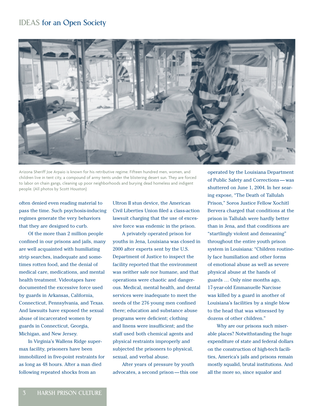#### IDEAS for an Open Society



Arizona Sheriff Joe Arpaio is known for his retributive regime. Fifteen hundred men, women, and children live in tent city, a compound of army tents under the blistering desert sun. They are forced to labor on chain gangs, cleaning up poor neighborhoods and burying dead homeless and indigent people. (All photos by Scott Houston)

often denied even reading material to pass the time. Such psychosis-inducing regimes generate the very behaviors that they are designed to curb.

Of the more than 2 million people confined in our prisons and jails, many are well acquainted with humiliating strip searches, inadequate and sometimes rotten food, and the denial of medical care, medications, and mental health treatment. Videotapes have documented the excessive force used by guards in Arkansas, California, Connecticut, Pennsylvania, and Texas. And lawsuits have exposed the sexual abuse of incarcerated women by guards in Connecticut, Georgia, Michigan, and New Jersey.

In Virginia's Wallens Ridge supermax facility, prisoners have been immobilized in five-point restraints for as long as 48 hours. After a man died following repeated shocks from an

Ultron II stun device, the American Civil Liberties Union filed a class-action lawsuit charging that the use of excessive force was endemic in the prison.

A privately operated prison for youths in Jena, Louisiana was closed in 2000 after experts sent by the U.S. Department of Justice to inspect the facility reported that the environment was neither safe nor humane, and that operations were chaotic and dangerous. Medical, mental health, and dental services were inadequate to meet the needs of the 276 young men confined there; education and substance abuse programs were deficient; clothing and linens were insufficient; and the staff used both chemical agents and physical restraints improperly and subjected the prisoners to physical, sexual, and verbal abuse.

After years of pressure by youth advocates, a second prison — this one

operated by the Louisiana Department of Public Safety and Corrections — was shuttered on June 1, 2004. In her searing expose, "The Death of Tallulah Prison," Soros Justice Fellow Xochitl Bervera charged that conditions at the prison in Tallulah were hardly better than in Jena, and that conditions are "startlingly violent and demeaning" throughout the entire youth prison system in Louisiana: "Children routinely face humiliation and other forms of emotional abuse as well as severe physical abuse at the hands of guards … Only nine months ago, 17-year-old Emmanuelle Narcisse was killed by a guard in another of Louisiana's facilities by a single blow to the head that was witnessed by dozens of other children."

Why are our prisons such miserable places? Notwithstanding the huge expenditure of state and federal dollars on the construction of high-tech facilities, America's jails and prisons remain mostly squalid, brutal institutions. And all the more so, since squalor and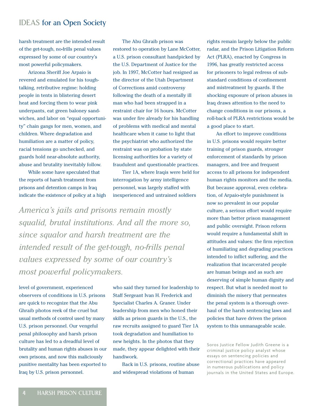#### IDEAS for an Open Society

harsh treatment are the intended result of the get-tough, no-frills penal values expressed by some of our country's most powerful policymakers.

Arizona Sheriff Joe Arpaio is revered and emulated for his toughtalking, retributive regime: holding people in tents in blistering desert heat and forcing them to wear pink underpants, eat green baloney sandwiches, and labor on "equal opportunity" chain gangs for men, women, and children. Where degradation and humiliation are a matter of policy, racial tensions go unchecked, and guards hold near-absolute authority, abuse and brutality inevitably follow.

While some have speculated that the reports of harsh treatment from prisons and detention camps in Iraq indicate the existence of policy at a high

The Abu Ghraib prison was restored to operation by Lane McCotter, a U.S. prison consultant handpicked by the U.S. Department of Justice for the job. In 1997, McCotter had resigned as the director of the Utah Department of Corrections amid controversy following the death of a mentally ill man who had been strapped in a restraint chair for 16 hours. McCotter was under fire already for his handling of problems with medical and mental healthcare when it came to light that the psychiatrist who authorized the restraint was on probation by state licensing authorities for a variety of fraudulent and questionable practices.

Tier 1A, where Iraqis were held for interrogation by army intelligence personnel, was largely staffed with inexperienced and untrained soldiers

*America's jails and prisons remain mostly squalid, brutal institutions. And all the more so, since squalor and harsh treatment are the intended result of the get-tough, no-frills penal values expressed by some of our country's most powerful policymakers.*

level of government, experienced observers of conditions in U.S. prisons are quick to recognize that the Abu Ghraib photos reek of the cruel but usual methods of control used by many U.S. prison personnel. Our vengeful penal philosophy and harsh prison culture has led to a dreadful level of brutality and human rights abuses in our own prisons, and now this maliciously punitive mentality has been exported to Iraq by U.S. prison personnel.

who said they turned for leadership to Staff Sergeant Ivan H. Frederick and Specialist Charles A. Graner. Under leadership from men who honed their skills as prison guards in the U.S., the raw recruits assigned to guard Tier 1A took degradation and humiliation to new heights. In the photos that they made, they appear delighted with their handiwork.

Back in U.S. prisons, routine abuse and widespread violations of human

rights remain largely below the public radar, and the Prison Litigation Reform Act (PLRA), enacted by Congress in 1996, has greatly restricted access for prisoners to legal redress of substandard conditions of confinement and mistreatment by guards. If the shocking exposure of prison abuses in Iraq draws attention to the need to change conditions in our prisons, a roll-back of PLRA restrictions would be a good place to start.

An effort to improve conditions in U.S. prisons would require better training of prison guards, stronger enforcement of standards by prison managers, and free and frequent access to all prisons for independent human rights monitors and the media. But because approval, even celebration, of Arpaio-style punishment is now so prevalent in our popular culture, a serious effort would require more than better prison management and public oversight. Prison reform would require a fundamental shift in attitudes and values: the firm rejection of humiliating and degrading practices intended to inflict suffering, and the realization that incarcerated people are human beings and as such are deserving of simple human dignity and respect. But what is needed most to diminish the misery that permeates the penal system is a thorough overhaul of the harsh sentencing laws and policies that have driven the prison system to this unmanageable scale.

Soros Justice Fellow Judith Greene is a criminal justice policy analyst whose essays on sentencing policies and correctional practices have appeared in numerous publications and policy journals in the United States and Europe.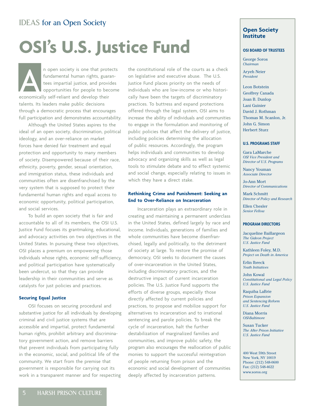#### IDEAS for an Open Society

## **OSI's U.S. Justice Fund**

n open society is one that protects<br>
fundamental human rights, guaran-<br>
tees impartial justice, and provides<br>
opportunities for people to become<br>
economically self-reliant and develop their fundamental human rights, guarantees impartial justice, and provides opportunities for people to become talents. Its leaders make public decisions through a democratic process that encourages full participation and demonstrates accountability.

Although the United States aspires to the ideal of an open society, discrimination, political ideology, and an over-reliance on market forces have denied fair treatment and equal protection and opportunity to many members of society. Disempowered because of their race, ethnicity, poverty, gender, sexual orientation, and immigration status, these individuals and communities often are disenfranchised by the very system that is supposed to protect their fundamental human rights and equal access to economic opportunity, political participation, and social services.

To build an open society that is fair and accountable to all of its members, the OSI U.S. Justice Fund focuses its grantmaking, educational, and advocacy activities on two objectives in the United States. In pursuing these two objectives, OSI places a premium on empowering those individuals whose rights, economic self-sufficiency, and political participation have systematically been undercut, so that they can provide leadership in their communities and serve as catalysts for just policies and practices.

#### **Securing Equal Justice**

OSI focuses on securing procedural and substantive justice for all individuals by developing criminal and civil justice systems that are accessible and impartial, protect fundamental human rights, prohibit arbitrary and discriminatory government action, and remove barriers that prevent individuals from participating fully in the economic, social, and political life of the community. We start from the premise that government is responsible for carrying out its work in a transparent manner and for respecting

the constitutional role of the courts as a check on legislative and executive abuse. The U.S. Justice Fund places priority on the needs of individuals who are low-income or who historically have been the targets of discriminatory practices. To buttress and expand protections offered through the legal system, OSI aims to increase the ability of individuals and communities to engage in the formulation and monitoring of public policies that affect the delivery of justice, including policies determining the allocation of public resources. Accordingly, the program helps individuals and communities to develop advocacy and organizing skills as well as legal tools to stimulate debate and to effect systemic and social change, especially relating to issues in which they have a direct stake.

#### **Rethinking Crime and Punishment: Seeking an End to Over-Reliance on Incarceration**

Incarceration plays an extraordinary role in creating and maintaining a permanent underclass in the United States, defined largely by race and income. Individuals, generations of families and whole communities have become disenfranchised, legally and politically, to the detriment of society at large. To restore the promise of democracy, OSI seeks to document the causes of over-incarceration in the United States, including discriminatory practices, and the destructive impact of current incarceration policies. The U.S. Justice Fund supports the efforts of diverse groups, especially those directly affected by current policies and practices, to propose and mobilize support for alternatives to incarceration and to irrational sentencing and parole policies. To break the cycle of incarceration, halt the further destabilization of marginalized families and communities, and improve public safety, the program also encourages the reallocation of public monies to support the successful reintegration of people returning from prison and the economic and social development of communities deeply affected by incarceration patterns.

#### **Open Society Institute**

#### **OSI BOARD OF TRUSTEES**

George Soros *Chairman*

Aryeh Neier *President*

Leon Botstein Geoffrey Canada Joan B. Dunlop Lani Guinier David J. Rothman Thomas M. Scanlon, Jr. John G. Simon Herbert Sturz

#### **U.S. PROGRAMS STAFF**

Gara LaMarche *OSI Vice President and Director of U.S. Programs*

Nancy Youman *Associate Director*

Jo-Ann Mort *Director of Communications*

Mark Schmitt *Director of Policy and Research*

Ellen Chesler *Senior Fellow*

#### **PROGRAM DIRECTORS**

Jacqueline Baillargeon *The Gideon Project U.S. Justice Fund*

Kathleen Foley, M.D. *Project on Death in America*

Erlin Ibreck *Youth Initiatives*

John Kowal *Constitutional and Legal Policy U.S. Justice Fund*

Raquiba LaBrie *Prison Expansion and Sentencing Reform U.S. Justice Fund*

Diana Morris *OSI-Baltimore*

Susan Tucker *The After Prison Initiative U.S. Justice Fund*

400 West 59th Street New York, NY 10019 Phone: (212) 548-0600 Fax: (212) 548-4622 www.soros.org